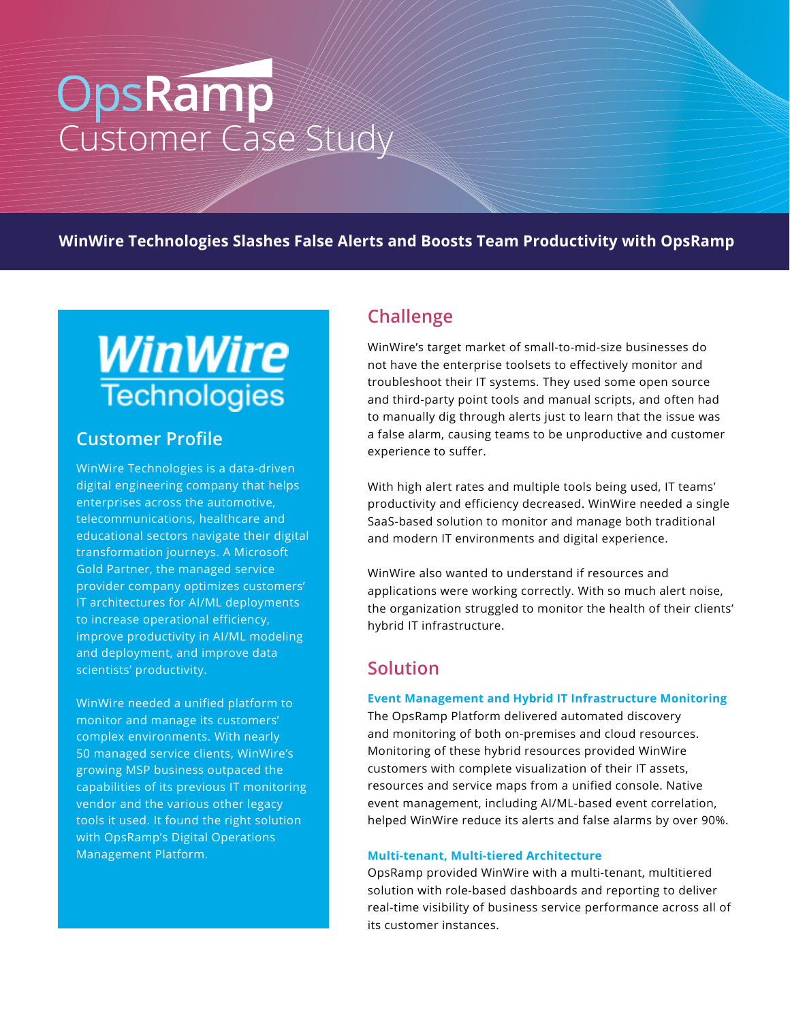# OpsRamp

**WinWire Technologies Slashes False Alerts and Boosts Team Productivity with OpsRamp**

# WinWire **Technologies**

# **Customer Profile**

WinWire Technologies is a data-driven digital engineering company that helps enterprises across the automotive, telecommunications, healthcare and educational sectors navigate their digital transformation journeys. A Microsoft Gold Partner, the managed service provider company optimizes customers' IT architectures for AI/ML deployments to increase operational efficiency, improve productivity in AI/ML modeling and deployment, and improve data scientists' productivity.

WinWire needed a unified platform to monitor and manage its customers' complex environments. With nearly 50 managed service clients, WinWire's growing MSP business outpaced the capabilities of its previous IT monitoring vendor and the various other legacy tools it used. It found the right solution with OpsRamp's Digital Operations Management Platform.

# **Challenge**

WinWire's target market of small-to-mid-size businesses do not have the enterprise toolsets to effectively monitor and troubleshoot their IT systems. They used some open source and third-party point tools and manual scripts, and often had to manually dig through alerts just to learn that the issue was a false alarm, causing teams to be unproductive and customer experience to suffer.

With high alert rates and multiple tools being used, IT teams' productivity and efficiency decreased. WinWire needed a single SaaS-based solution to monitor and manage both traditional and modern IT environments and digital experience.

WinWire also wanted to understand if resources and applications were working correctly. With so much alert noise, the organization struggled to monitor the health of their clients' hybrid IT infrastructure.

# **Solution**

#### **Event Management and Hybrid IT Infrastructure Monitoring**

The OpsRamp Platform delivered automated discovery and monitoring of both on-premises and cloud resources. Monitoring of these hybrid resources provided WinWire customers with complete visualization of their IT assets, resources and service maps from a unified console. Native event management, including AI/ML-based event correlation, helped WinWire reduce its alerts and false alarms by over 90%.

#### **Multi-tenant, Multi-tiered Architecture**

OpsRamp provided WinWire with a multi-tenant, multitiered solution with role-based dashboards and reporting to deliver real-time visibility of business service performance across all of its customer instances.